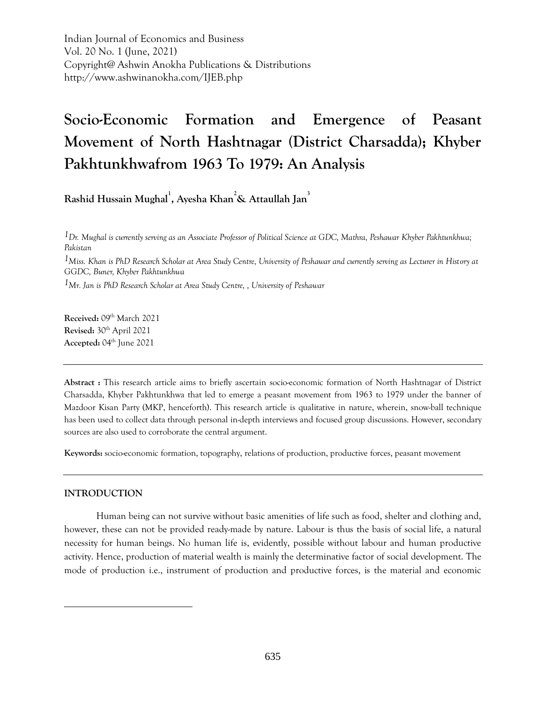Indian Journal of Economics and Business Vol. 20 No. 1 (June, 2021) Copyright@ Ashwin Anokha Publications & Distributions http://www.ashwinanokha.com/IJEB.php

# **Socio-Economic Formation and Emergence of Peasant Movement of North Hashtnagar (District Charsadda); Khyber Pakhtunkhwafrom 1963 To 1979: An Analysis**

**Rashid Hussain Mughal<sup>1</sup> , Ayesha Khan<sup>2</sup>& Attaullah Jan<sup>3</sup>**

*1Dr. Mughal is currently serving as an Associate Professor of Political Science at GDC, Mathra, Peshawar Khyber Pakhtunkhwa; Pakistan 1Miss. Khan is PhD Research Scholar at Area Study Centre, University of Peshawar and currently serving as Lecturer in History at GGDC, Buner, Khyber Pakhtunkhwa 1Mr. Jan is PhD Research Scholar at Area Study Centre, , University of Peshawar*

**Received: 09th March 2021 Revised:** 30th April 2021 **Accepted:** 04th June 2021

**Abstract :** This research article aims to briefly ascertain socio-economic formation of North Hashtnagar of District Charsadda, Khyber Pakhtunkhwa that led to emerge a peasant movement from 1963 to 1979 under the banner of Mazdoor Kisan Party (MKP, henceforth). This research article is qualitative in nature, wherein, snow-ball technique has been used to collect data through personal in-depth interviews and focused group discussions. However, secondary sources are also used to corroborate the central argument.

**Keywords:** socio-economic formation, topography, relations of production, productive forces, peasant movement

# **INTRODUCTION**

 $\overline{a}$ 

Human being can not survive without basic amenities of life such as food, shelter and clothing and, however, these can not be provided ready-made by nature. Labour is thus the basis of social life, a natural necessity for human beings. No human life is, evidently, possible without labour and human productive activity. Hence, production of material wealth is mainly the determinative factor of social development. The mode of production i.e., instrument of production and productive forces, is the material and economic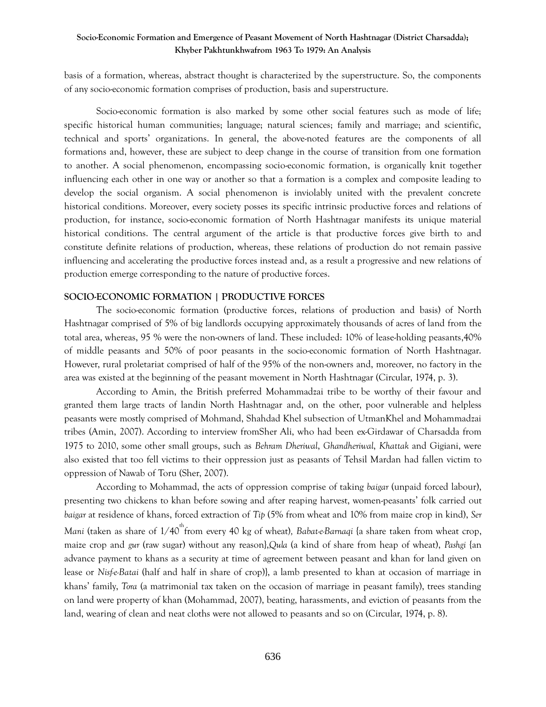basis of a formation, whereas, abstract thought is characterized by the superstructure. So, the components of any socio-economic formation comprises of production, basis and superstructure.

Socio-economic formation is also marked by some other social features such as mode of life; specific historical human communities; language; natural sciences; family and marriage; and scientific, technical and sports' organizations. In general, the above-noted features are the components of all formations and, however, these are subject to deep change in the course of transition from one formation to another. A social phenomenon, encompassing socio-economic formation, is organically knit together influencing each other in one way or another so that a formation is a complex and composite leading to develop the social organism. A social phenomenon is inviolably united with the prevalent concrete historical conditions. Moreover, every society posses its specific intrinsic productive forces and relations of production, for instance, socio-economic formation of North Hashtnagar manifests its unique material historical conditions. The central argument of the article is that productive forces give birth to and constitute definite relations of production, whereas, these relations of production do not remain passive influencing and accelerating the productive forces instead and, as a result a progressive and new relations of production emerge corresponding to the nature of productive forces.

## **SOCIO-ECONOMIC FORMATION | PRODUCTIVE FORCES**

The socio-economic formation (productive forces, relations of production and basis) of North Hashtnagar comprised of 5% of big landlords occupying approximately thousands of acres of land from the total area, whereas, 95 % were the non-owners of land. These included: 10% of lease-holding peasants,40% of middle peasants and 50% of poor peasants in the socio-economic formation of North Hashtnagar. However, rural proletariat comprised of half of the 95% of the non-owners and, moreover, no factory in the area was existed at the beginning of the peasant movement in North Hashtnagar (Circular, 1974, p. 3).

According to Amin, the British preferred Mohammadzai tribe to be worthy of their favour and granted them large tracts of landin North Hashtnagar and, on the other, poor vulnerable and helpless peasants were mostly comprised of Mohmand, Shahdad Khel subsection of UtmanKhel and Mohammadzai tribes (Amin, 2007). According to interview fromSher Ali, who had been ex-Girdawar of Charsadda from 1975 to 2010, some other small groups, such as *Behram Dheriwal*, *Ghandheriwal*, *Khattak* and Gigiani, were also existed that too fell victims to their oppression just as peasants of Tehsil Mardan had fallen victim to oppression of Nawab of Toru (Sher, 2007).

According to Mohammad, the acts of oppression comprise of taking *baigar* (unpaid forced labour), presenting two chickens to khan before sowing and after reaping harvest, women-peasants' folk carried out *baigar* at residence of khans, forced extraction of *Tip* (5% from wheat and 10% from maize crop in kind), *Ser Mani* (taken as share of 1/40<sup>th</sup> from every 40 kg of wheat), Babat-e-Barnaqi {a share taken from wheat crop, maize crop and *gur* (raw sugar) without any reason},*Qula* (a kind of share from heap of wheat), *Pashgi* {an advance payment to khans as a security at time of agreement between peasant and khan for land given on lease or *Nisf-e-Batai* (half and half in share of crop)}, a lamb presented to khan at occasion of marriage in khans' family, *Tora* (a matrimonial tax taken on the occasion of marriage in peasant family), trees standing on land were property of khan (Mohammad, 2007), beating, harassments, and eviction of peasants from the land, wearing of clean and neat cloths were not allowed to peasants and so on (Circular, 1974, p. 8).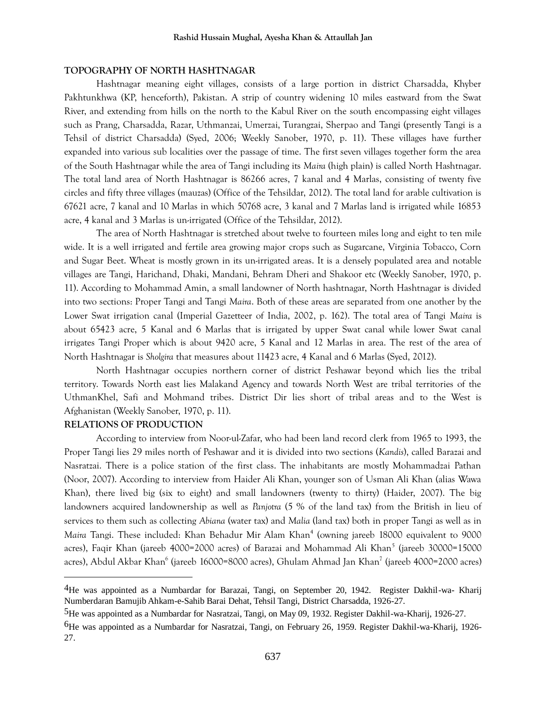#### **TOPOGRAPHY OF NORTH HASHTNAGAR**

Hashtnagar meaning eight villages, consists of a large portion in district Charsadda, Khyber Pakhtunkhwa (KP, henceforth), Pakistan. A strip of country widening 10 miles eastward from the Swat River, and extending from hills on the north to the Kabul River on the south encompassing eight villages such as Prang, Charsadda, Razar, Uthmanzai, Umerzai, Turangzai, Sherpao and Tangi (presently Tangi is a Tehsil of district Charsadda) (Syed, 2006; Weekly Sanober, 1970, p. 11). These villages have further expanded into various sub localities over the passage of time. The first seven villages together form the area of the South Hashtnagar while the area of Tangi including its *Maira* (high plain) is called North Hashtnagar. The total land area of North Hashtnagar is 86266 acres, 7 kanal and 4 Marlas, consisting of twenty five circles and fifty three villages (mauzas) (Office of the Tehsildar, 2012). The total land for arable cultivation is 67621 acre, 7 kanal and 10 Marlas in which 50768 acre, 3 kanal and 7 Marlas land is irrigated while 16853 acre, 4 kanal and 3 Marlas is un-irrigated (Office of the Tehsildar, 2012).

The area of North Hashtnagar is stretched about twelve to fourteen miles long and eight to ten mile wide. It is a well irrigated and fertile area growing major crops such as Sugarcane, Virginia Tobacco, Corn and Sugar Beet. Wheat is mostly grown in its un-irrigated areas. It is a densely populated area and notable villages are Tangi, Harichand, Dhaki, Mandani, Behram Dheri and Shakoor etc (Weekly Sanober, 1970, p. 11). According to Mohammad Amin, a small landowner of North hashtnagar, North Hashtnagar is divided into two sections: Proper Tangi and Tangi *Maira*. Both of these areas are separated from one another by the Lower Swat irrigation canal (Imperial Gazetteer of India, 2002, p. 162). The total area of Tangi *Maira* is about 65423 acre, 5 Kanal and 6 Marlas that is irrigated by upper Swat canal while lower Swat canal irrigates Tangi Proper which is about 9420 acre, 5 Kanal and 12 Marlas in area. The rest of the area of North Hashtnagar is *Sholgira* that measures about 11423 acre, 4 Kanal and 6 Marlas (Syed, 2012).

North Hashtnagar occupies northern corner of district Peshawar beyond which lies the tribal territory. Towards North east lies Malakand Agency and towards North West are tribal territories of the UthmanKhel, Safi and Mohmand tribes. District Dir lies short of tribal areas and to the West is Afghanistan (Weekly Sanober, 1970, p. 11).

#### **RELATIONS OF PRODUCTION**

 $\overline{a}$ 

According to interview from Noor-ul-Zafar, who had been land record clerk from 1965 to 1993, the Proper Tangi lies 29 miles north of Peshawar and it is divided into two sections (*Kandis*), called Barazai and Nasratzai. There is a police station of the first class. The inhabitants are mostly Mohammadzai Pathan (Noor, 2007). According to interview from Haider Ali Khan, younger son of Usman Ali Khan (alias Wawa Khan), there lived big (six to eight) and small landowners (twenty to thirty) (Haider, 2007). The big landowners acquired landownership as well as *Panjotra* (5 % of the land tax) from the British in lieu of services to them such as collecting *Abiana* (water tax) and *Malia* (land tax) both in proper Tangi as well as in Maira Tangi. These included: Khan Behadur Mir Alam Khan<sup>4</sup> (owning jareeb 18000 equivalent to 9000 acres), Faqir Khan (jareeb 4000=2000 acres) of Barazai and Mohammad Ali Khan<sup>5</sup> (jareeb 30000=15000 acres), Abdul Akbar Khan<sup>6</sup> (jareeb 16000=8000 acres), Ghulam Ahmad Jan Khan<sup>7</sup> (jareeb 4000=2000 acres)

<sup>4</sup>He was appointed as a Numbardar for Barazai, Tangi, on September 20, 1942. Register Dakhil-wa- Kharij Numberdaran Bamujib Ahkam-e-Sahib Barai Dehat, Tehsil Tangi, District Charsadda, 1926-27.

<sup>5</sup>He was appointed as a Numbardar for Nasratzai, Tangi, on May 09, 1932. Register Dakhil-wa-Kharij, 1926-27.

<sup>6</sup>He was appointed as a Numbardar for Nasratzai, Tangi, on February 26, 1959. Register Dakhil-wa-Kharij, 1926- 27.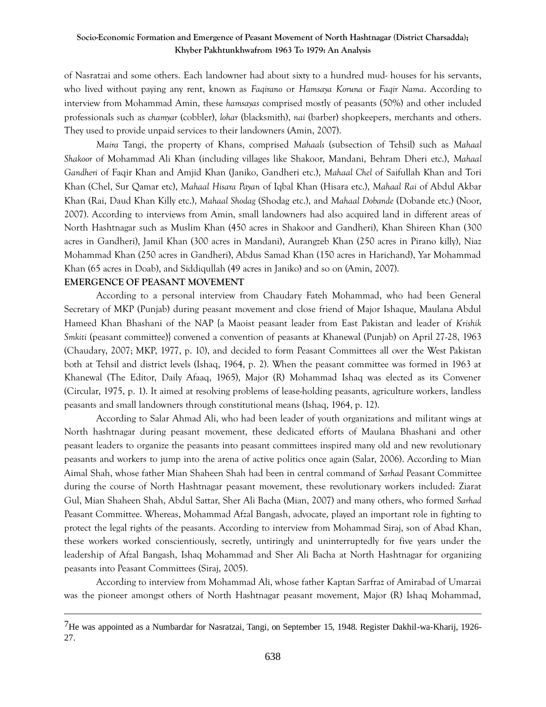of Nasratzai and some others. Each landowner had about sixty to a hundred mud- houses for his servants, who lived without paying any rent, known as *Faqirano* or *Hamsaya Koruna* or *Faqir Nama*. According to interview from Mohammad Amin, these *hamsayas* comprised mostly of peasants (50%) and other included professionals such as *chamyar* (cobbler), *lohar* (blacksmith), *nai* (barber) shopkeepers, merchants and others. They used to provide unpaid services to their landowners (Amin, 2007).

*Maira* Tangi, the property of Khans, comprised *Mahaals* (subsection of Tehsil) such as *Mahaal Shakoor* of Mohammad Ali Khan (including villages like Shakoor, Mandani, Behram Dheri etc.), *Mahaal Gandheri* of Faqir Khan and Amjid Khan (Janiko, Gandheri etc.), *Mahaal Chel* of Saifullah Khan and Tori Khan (Chel, Sur Qamar etc), *Mahaal Hisara Payan* of Iqbal Khan (Hisara etc.), *Mahaal Rai* of Abdul Akbar Khan (Rai, Daud Khan Killy etc.), *Mahaal Shodag* (Shodag etc.), and *Mahaal Dobande* (Dobande etc.) (Noor, 2007). According to interviews from Amin, small landowners had also acquired land in different areas of North Hashtnagar such as Muslim Khan (450 acres in Shakoor and Gandheri), Khan Shireen Khan (300 acres in Gandheri), Jamil Khan (300 acres in Mandani), Aurangzeb Khan (250 acres in Pirano killy), Niaz Mohammad Khan (250 acres in Gandheri), Abdus Samad Khan (150 acres in Harichand), Yar Mohammad Khan (65 acres in Doab), and Siddiqullah (49 acres in Janiko) and so on (Amin, 2007).

#### **EMERGENCE OF PEASANT MOVEMENT**

 $\overline{a}$ 

According to a personal interview from Chaudary Fateh Mohammad, who had been General Secretary of MKP (Punjab) during peasant movement and close friend of Major Ishaque, Maulana Abdul Hameed Khan Bhashani of the NAP {a Maoist peasant leader from East Pakistan and leader of *Krishik Smkiti* (peasant committee)} convened a convention of peasants at Khanewal (Punjab) on April 27-28, 1963 (Chaudary, 2007; MKP, 1977, p. 10), and decided to form Peasant Committees all over the West Pakistan both at Tehsil and district levels (Ishaq, 1964, p. 2). When the peasant committee was formed in 1963 at Khanewal (The Editor, Daily Afaaq, 1965), Major (R) Mohammad Ishaq was elected as its Convener (Circular, 1975, p. 1). It aimed at resolving problems of lease-holding peasants, agriculture workers, landless peasants and small landowners through constitutional means (Ishaq, 1964, p. 12).

According to Salar Ahmad Ali, who had been leader of youth organizations and militant wings at North hashtnagar during peasant movement, these dedicated efforts of Maulana Bhashani and other peasant leaders to organize the peasants into peasant committees inspired many old and new revolutionary peasants and workers to jump into the arena of active politics once again (Salar, 2006). According to Mian Aimal Shah, whose father Mian Shaheen Shah had been in central command of *Sarhad* Peasant Committee during the course of North Hashtnagar peasant movement, these revolutionary workers included: Ziarat Gul, Mian Shaheen Shah, Abdul Sattar, Sher Ali Bacha (Mian, 2007) and many others, who formed *Sarhad* Peasant Committee. Whereas, Mohammad Afzal Bangash, advocate, played an important role in fighting to protect the legal rights of the peasants. According to interview from Mohammad Siraj, son of Abad Khan, these workers worked conscientiously, secretly, untiringly and uninterruptedly for five years under the leadership of Afzal Bangash, Ishaq Mohammad and Sher Ali Bacha at North Hashtnagar for organizing peasants into Peasant Committees (Siraj, 2005).

According to interview from Mohammad Ali, whose father Kaptan Sarfraz of Amirabad of Umarzai was the pioneer amongst others of North Hashtnagar peasant movement, Major (R) Ishaq Mohammad,

<sup>7</sup>He was appointed as a Numbardar for Nasratzai, Tangi, on September 15, 1948. Register Dakhil-wa-Kharij, 1926- 27.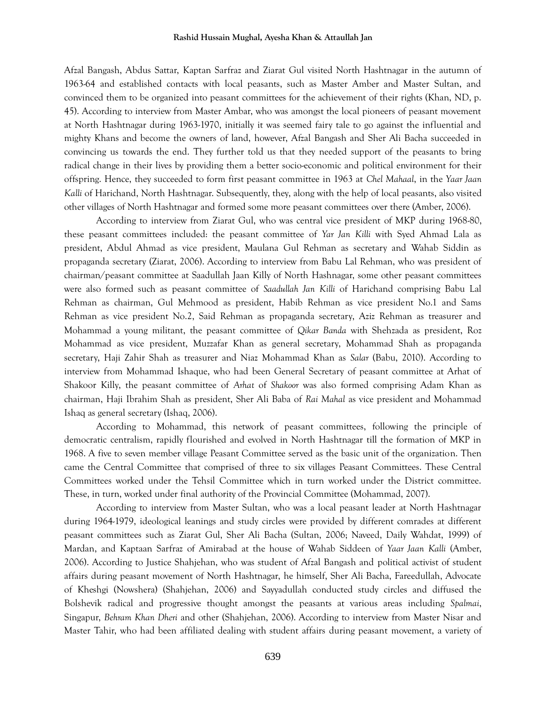#### **Rashid Hussain Mughal, Ayesha Khan & Attaullah Jan**

Afzal Bangash, Abdus Sattar, Kaptan Sarfraz and Ziarat Gul visited North Hashtnagar in the autumn of 1963-64 and established contacts with local peasants, such as Master Amber and Master Sultan, and convinced them to be organized into peasant committees for the achievement of their rights (Khan, ND, p. 45). According to interview from Master Ambar, who was amongst the local pioneers of peasant movement at North Hashtnagar during 1963-1970, initially it was seemed fairy tale to go against the influential and mighty Khans and become the owners of land, however, Afzal Bangash and Sher Ali Bacha succeeded in convincing us towards the end. They further told us that they needed support of the peasants to bring radical change in their lives by providing them a better socio-economic and political environment for their offspring. Hence, they succeeded to form first peasant committee in 1963 at *Chel Mahaal*, in the *Yaar Jaan Kalli* of Harichand, North Hashtnagar. Subsequently, they, along with the help of local peasants, also visited other villages of North Hashtnagar and formed some more peasant committees over there (Amber, 2006).

According to interview from Ziarat Gul, who was central vice president of MKP during 1968-80, these peasant committees included: the peasant committee of *Yar Jan Killi* with Syed Ahmad Lala as president, Abdul Ahmad as vice president, Maulana Gul Rehman as secretary and Wahab Siddin as propaganda secretary (Ziarat, 2006). According to interview from Babu Lal Rehman, who was president of chairman/peasant committee at Saadullah Jaan Killy of North Hashnagar, some other peasant committees were also formed such as peasant committee of *Saadullah Jan Killi* of Harichand comprising Babu Lal Rehman as chairman, Gul Mehmood as president, Habib Rehman as vice president No.1 and Sams Rehman as vice president No.2, Said Rehman as propaganda secretary, Aziz Rehman as treasurer and Mohammad a young militant, the peasant committee of *Qikar Banda* with Shehzada as president, Roz Mohammad as vice president, Muzzafar Khan as general secretary, Mohammad Shah as propaganda secretary, Haji Zahir Shah as treasurer and Niaz Mohammad Khan as *Salar* (Babu, 2010). According to interview from Mohammad Ishaque, who had been General Secretary of peasant committee at Arhat of Shakoor Killy, the peasant committee of *Arhat* of *Shakoor* was also formed comprising Adam Khan as chairman, Haji Ibrahim Shah as president, Sher Ali Baba of *Rai Mahal* as vice president and Mohammad Ishaq as general secretary (Ishaq, 2006).

According to Mohammad, this network of peasant committees, following the principle of democratic centralism, rapidly flourished and evolved in North Hashtnagar till the formation of MKP in 1968. A five to seven member village Peasant Committee served as the basic unit of the organization. Then came the Central Committee that comprised of three to six villages Peasant Committees. These Central Committees worked under the Tehsil Committee which in turn worked under the District committee. These, in turn, worked under final authority of the Provincial Committee (Mohammad, 2007).

According to interview from Master Sultan, who was a local peasant leader at North Hashtnagar during 1964-1979, ideological leanings and study circles were provided by different comrades at different peasant committees such as Ziarat Gul, Sher Ali Bacha (Sultan, 2006; Naveed, Daily Wahdat, 1999) of Mardan, and Kaptaan Sarfraz of Amirabad at the house of Wahab Siddeen of *Yaar Jaan Kalli* (Amber, 2006). According to Justice Shahjehan, who was student of Afzal Bangash and political activist of student affairs during peasant movement of North Hashtnagar, he himself, Sher Ali Bacha, Fareedullah, Advocate of Kheshgi (Nowshera) (Shahjehan, 2006) and Sayyadullah conducted study circles and diffused the Bolshevik radical and progressive thought amongst the peasants at various areas including *Spalmai*, Singapur, *Behram Khan Dheri* and other (Shahjehan, 2006). According to interview from Master Nisar and Master Tahir, who had been affiliated dealing with student affairs during peasant movement, a variety of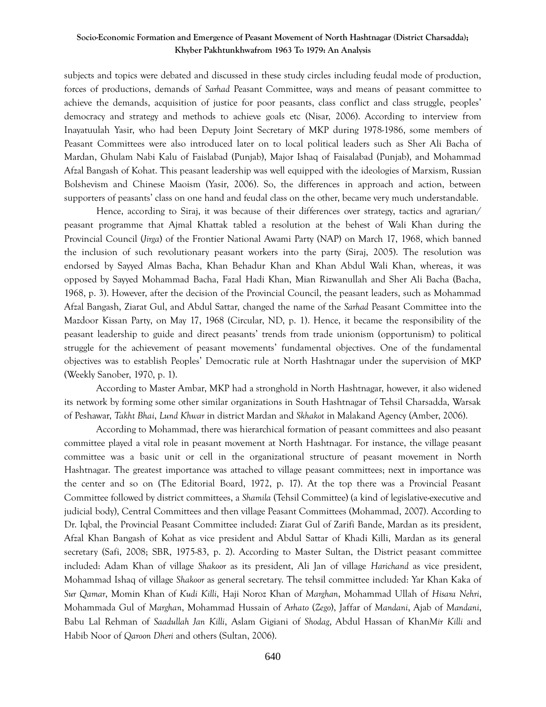subjects and topics were debated and discussed in these study circles including feudal mode of production, forces of productions, demands of *Sarhad* Peasant Committee, ways and means of peasant committee to achieve the demands, acquisition of justice for poor peasants, class conflict and class struggle, peoples' democracy and strategy and methods to achieve goals etc (Nisar, 2006). According to interview from Inayatuulah Yasir, who had been Deputy Joint Secretary of MKP during 1978-1986, some members of Peasant Committees were also introduced later on to local political leaders such as Sher Ali Bacha of Mardan, Ghulam Nabi Kalu of Faislabad (Punjab), Major Ishaq of Faisalabad (Punjab), and Mohammad Afzal Bangash of Kohat. This peasant leadership was well equipped with the ideologies of Marxism, Russian Bolshevism and Chinese Maoism (Yasir, 2006). So, the differences in approach and action, between supporters of peasants' class on one hand and feudal class on the other, became very much understandable.

Hence, according to Siraj, it was because of their differences over strategy, tactics and agrarian/ peasant programme that Ajmal Khattak tabled a resolution at the behest of Wali Khan during the Provincial Council (*Jirga*) of the Frontier National Awami Party (NAP) on March 17, 1968, which banned the inclusion of such revolutionary peasant workers into the party (Siraj, 2005). The resolution was endorsed by Sayyed Almas Bacha, Khan Behadur Khan and Khan Abdul Wali Khan, whereas, it was opposed by Sayyed Mohammad Bacha, Fazal Hadi Khan, Mian Rizwanullah and Sher Ali Bacha (Bacha, 1968, p. 3). However, after the decision of the Provincial Council, the peasant leaders, such as Mohammad Afzal Bangash, Ziarat Gul, and Abdul Sattar, changed the name of the *Sarhad* Peasant Committee into the Mazdoor Kissan Party, on May 17, 1968 (Circular, ND, p. 1). Hence, it became the responsibility of the peasant leadership to guide and direct peasants' trends from trade unionism (opportunism) to political struggle for the achievement of peasant movements' fundamental objectives. One of the fundamental objectives was to establish Peoples' Democratic rule at North Hashtnagar under the supervision of MKP (Weekly Sanober, 1970, p. 1).

According to Master Ambar, MKP had a stronghold in North Hashtnagar, however, it also widened its network by forming some other similar organizations in South Hashtnagar of Tehsil Charsadda, Warsak of Peshawar, *Takht Bhai*, *Lund Khwar* in district Mardan and *Skhakot* in Malakand Agency (Amber, 2006).

According to Mohammad, there was hierarchical formation of peasant committees and also peasant committee played a vital role in peasant movement at North Hashtnagar. For instance, the village peasant committee was a basic unit or cell in the organizational structure of peasant movement in North Hashtnagar. The greatest importance was attached to village peasant committees; next in importance was the center and so on (The Editorial Board, 1972, p. 17). At the top there was a Provincial Peasant Committee followed by district committees, a *Shamila* (Tehsil Committee) (a kind of legislative-executive and judicial body), Central Committees and then village Peasant Committees (Mohammad, 2007). According to Dr. Iqbal, the Provincial Peasant Committee included: Ziarat Gul of Zarifi Bande, Mardan as its president, Afzal Khan Bangash of Kohat as vice president and Abdul Sattar of Khadi Killi, Mardan as its general secretary (Safi, 2008; SBR, 1975-83, p. 2). According to Master Sultan, the District peasant committee included: Adam Khan of village *Shakoor* as its president, Ali Jan of village *Harichand* as vice president, Mohammad Ishaq of village *Shakoor* as general secretary. The tehsil committee included: Yar Khan Kaka of *Sur Qamar*, Momin Khan of *Kudi Killi*, Haji Noroz Khan of *Marghan*, Mohammad Ullah of *Hisara Nehri*, Mohammada Gul of *Marghan*, Mohammad Hussain of *Arhato* (*Zego*), Jaffar of *Mandani*, Ajab of *Mandani*, Babu Lal Rehman of *Saadullah Jan Killi*, Aslam Gigiani of *Shodag*, Abdul Hassan of Khan*Mir Killi* and Habib Noor of *Qaroon Dheri* and others (Sultan, 2006).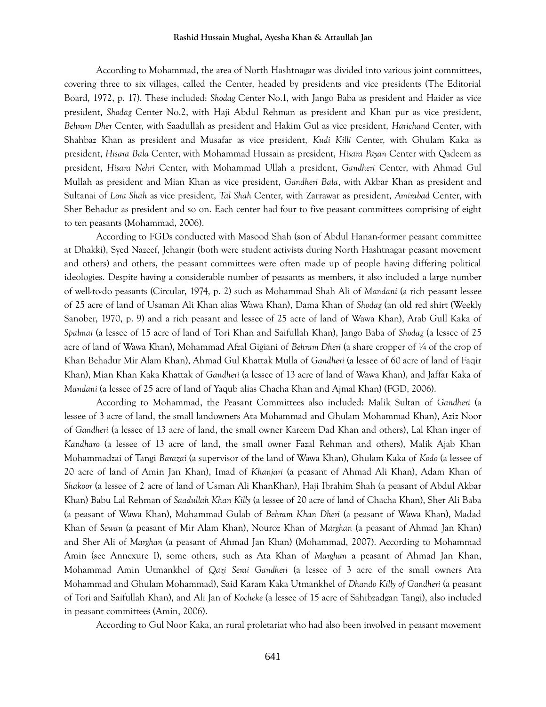#### **Rashid Hussain Mughal, Ayesha Khan & Attaullah Jan**

According to Mohammad, the area of North Hashtnagar was divided into various joint committees, covering three to six villages, called the Center, headed by presidents and vice presidents (The Editorial Board, 1972, p. 17). These included: *Shodag* Center No.1, with Jango Baba as president and Haider as vice president, *Shodag* Center No.2, with Haji Abdul Rehman as president and Khan pur as vice president, *Behram Dher* Center, with Saadullah as president and Hakim Gul as vice president, *Harichand* Center, with Shahbaz Khan as president and Musafar as vice president, *Kudi Killi* Center, with Ghulam Kaka as president, *Hisara Bala* Center, with Mohammad Hussain as president, *Hisara Payan* Center with Qadeem as president, *Hisara Nehri* Center, with Mohammad Ullah a president, *Gandheri* Center, with Ahmad Gul Mullah as president and Mian Khan as vice president, *Gandheri Bala*, with Akbar Khan as president and Sultanai of *Lora Shah* as vice president, *Tal Shah* Center, with Zarrawar as president, *Amirabad* Center, with Sher Behadur as president and so on. Each center had four to five peasant committees comprising of eight to ten peasants (Mohammad, 2006).

According to FGDs conducted with Masood Shah (son of Abdul Hanan-former peasant committee at Dhakki), Syed Nazeef, Jehangir (both were student activists during North Hashtnagar peasant movement and others) and others, the peasant committees were often made up of people having differing political ideologies. Despite having a considerable number of peasants as members, it also included a large number of well-to-do peasants (Circular, 1974, p. 2) such as Mohammad Shah Ali of *Mandani* (a rich peasant lessee of 25 acre of land of Usaman Ali Khan alias Wawa Khan), Dama Khan of *Shodag* (an old red shirt (Weekly Sanober, 1970, p. 9) and a rich peasant and lessee of 25 acre of land of Wawa Khan), Arab Gull Kaka of *Spalmai* (a lessee of 15 acre of land of Tori Khan and Saifullah Khan), Jango Baba of *Shodag* (a lessee of 25 acre of land of Wawa Khan), Mohammad Afzal Gigiani of *Behram Dheri* (a share cropper of ¼ of the crop of Khan Behadur Mir Alam Khan), Ahmad Gul Khattak Mulla of *Gandheri* (a lessee of 60 acre of land of Faqir Khan), Mian Khan Kaka Khattak of *Gandheri* (a lessee of 13 acre of land of Wawa Khan), and Jaffar Kaka of *Mandani* (a lessee of 25 acre of land of Yaqub alias Chacha Khan and Ajmal Khan) (FGD, 2006).

According to Mohammad, the Peasant Committees also included: Malik Sultan of *Gandheri* (a lessee of 3 acre of land, the small landowners Ata Mohammad and Ghulam Mohammad Khan), Aziz Noor of *Gandheri* (a lessee of 13 acre of land, the small owner Kareem Dad Khan and others), Lal Khan inger of *Kandharo* (a lessee of 13 acre of land, the small owner Fazal Rehman and others), Malik Ajab Khan Mohammadzai of Tangi *Barazai* (a supervisor of the land of Wawa Khan), Ghulam Kaka of *Kodo* (a lessee of 20 acre of land of Amin Jan Khan), Imad of *Khanjari* (a peasant of Ahmad Ali Khan), Adam Khan of *Shakoor* (a lessee of 2 acre of land of Usman Ali KhanKhan), Haji Ibrahim Shah (a peasant of Abdul Akbar Khan) Babu Lal Rehman of *Saadullah Khan Killy* (a lessee of 20 acre of land of Chacha Khan), Sher Ali Baba (a peasant of Wawa Khan), Mohammad Gulab of *Behram Khan Dheri* (a peasant of Wawa Khan), Madad Khan of *Sewan* (a peasant of Mir Alam Khan), Nouroz Khan of *Marghan* (a peasant of Ahmad Jan Khan) and Sher Ali of *Marghan* (a peasant of Ahmad Jan Khan) (Mohammad, 2007). According to Mohammad Amin (see Annexure I), some others, such as Ata Khan of *Marghan* a peasant of Ahmad Jan Khan, Mohammad Amin Utmankhel of *Qazi Serai Gandheri* (a lessee of 3 acre of the small owners Ata Mohammad and Ghulam Mohammad), Said Karam Kaka Utmankhel of *Dhando Killy of Gandheri* (a peasant of Tori and Saifullah Khan), and Ali Jan of *Kocheke* (a lessee of 15 acre of Sahibzadgan Tangi), also included in peasant committees (Amin, 2006).

According to Gul Noor Kaka, an rural proletariat who had also been involved in peasant movement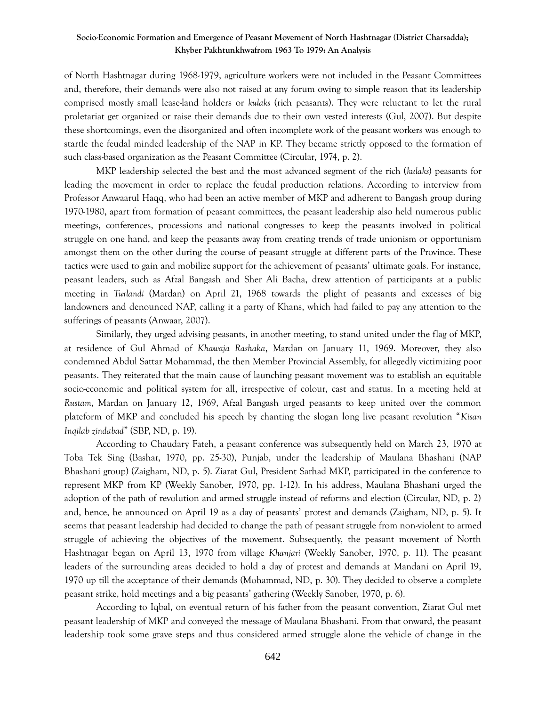of North Hashtnagar during 1968-1979, agriculture workers were not included in the Peasant Committees and, therefore, their demands were also not raised at any forum owing to simple reason that its leadership comprised mostly small lease-land holders or *kulaks* (rich peasants). They were reluctant to let the rural proletariat get organized or raise their demands due to their own vested interests (Gul, 2007). But despite these shortcomings, even the disorganized and often incomplete work of the peasant workers was enough to startle the feudal minded leadership of the NAP in KP. They became strictly opposed to the formation of such class-based organization as the Peasant Committee (Circular, 1974, p. 2).

MKP leadership selected the best and the most advanced segment of the rich (*kulaks*) peasants for leading the movement in order to replace the feudal production relations. According to interview from Professor Anwaarul Haqq, who had been an active member of MKP and adherent to Bangash group during 1970-1980, apart from formation of peasant committees, the peasant leadership also held numerous public meetings, conferences, processions and national congresses to keep the peasants involved in political struggle on one hand, and keep the peasants away from creating trends of trade unionism or opportunism amongst them on the other during the course of peasant struggle at different parts of the Province. These tactics were used to gain and mobilize support for the achievement of peasants' ultimate goals. For instance, peasant leaders, such as Afzal Bangash and Sher Ali Bacha, drew attention of participants at a public meeting in *Turlandi* (Mardan) on April 21, 1968 towards the plight of peasants and excesses of big landowners and denounced NAP, calling it a party of Khans, which had failed to pay any attention to the sufferings of peasants (Anwaar, 2007).

Similarly, they urged advising peasants, in another meeting, to stand united under the flag of MKP, at residence of Gul Ahmad of *Khawaja Rashaka*, Mardan on January 11, 1969. Moreover, they also condemned Abdul Sattar Mohammad, the then Member Provincial Assembly, for allegedly victimizing poor peasants. They reiterated that the main cause of launching peasant movement was to establish an equitable socio-economic and political system for all, irrespective of colour, cast and status. In a meeting held at *Rustam*, Mardan on January 12, 1969, Afzal Bangash urged peasants to keep united over the common plateform of MKP and concluded his speech by chanting the slogan long live peasant revolution "*Kisan Inqilab zindabad*" (SBP, ND, p. 19).

According to Chaudary Fateh, a peasant conference was subsequently held on March 23, 1970 at Toba Tek Sing (Bashar, 1970, pp. 25-30), Punjab, under the leadership of Maulana Bhashani (NAP Bhashani group) (Zaigham, ND, p. 5). Ziarat Gul, President Sarhad MKP, participated in the conference to represent MKP from KP (Weekly Sanober, 1970, pp. 1-12). In his address, Maulana Bhashani urged the adoption of the path of revolution and armed struggle instead of reforms and election (Circular, ND, p. 2) and, hence, he announced on April 19 as a day of peasants' protest and demands (Zaigham, ND, p. 5). It seems that peasant leadership had decided to change the path of peasant struggle from non-violent to armed struggle of achieving the objectives of the movement. Subsequently, the peasant movement of North Hashtnagar began on April 13, 1970 from village *Khanjari* (Weekly Sanober, 1970, p. 11)*.* The peasant leaders of the surrounding areas decided to hold a day of protest and demands at Mandani on April 19, 1970 up till the acceptance of their demands (Mohammad, ND, p. 30). They decided to observe a complete peasant strike, hold meetings and a big peasants' gathering (Weekly Sanober, 1970, p. 6).

According to Iqbal, on eventual return of his father from the peasant convention, Ziarat Gul met peasant leadership of MKP and conveyed the message of Maulana Bhashani. From that onward, the peasant leadership took some grave steps and thus considered armed struggle alone the vehicle of change in the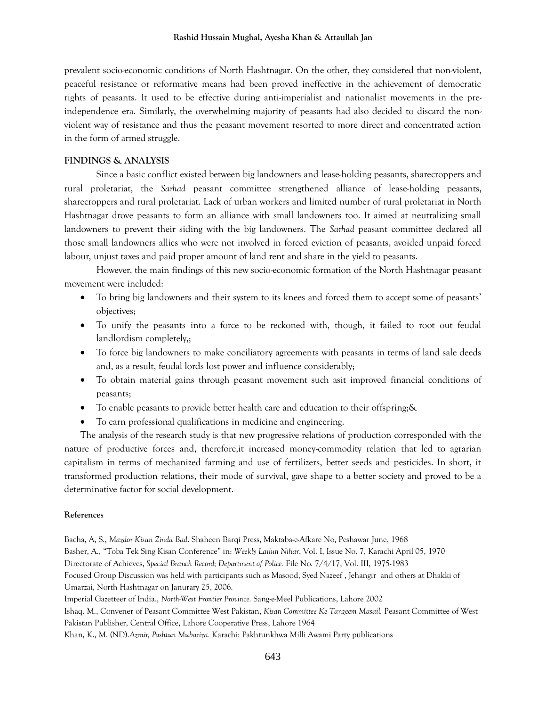#### **Rashid Hussain Mughal, Ayesha Khan & Attaullah Jan**

prevalent socio-economic conditions of North Hashtnagar. On the other, they considered that non-violent, peaceful resistance or reformative means had been proved ineffective in the achievement of democratic rights of peasants. It used to be effective during anti-imperialist and nationalist movements in the preindependence era. Similarly, the overwhelming majority of peasants had also decided to discard the nonviolent way of resistance and thus the peasant movement resorted to more direct and concentrated action in the form of armed struggle.

#### **FINDINGS & ANALYSIS**

Since a basic conflict existed between big landowners and lease-holding peasants, sharecroppers and rural proletariat, the *Sarhad* peasant committee strengthened alliance of lease-holding peasants, sharecroppers and rural proletariat. Lack of urban workers and limited number of rural proletariat in North Hashtnagar drove peasants to form an alliance with small landowners too. It aimed at neutralizing small landowners to prevent their siding with the big landowners. The *Sarhad* peasant committee declared all those small landowners allies who were not involved in forced eviction of peasants, avoided unpaid forced labour, unjust taxes and paid proper amount of land rent and share in the yield to peasants.

However, the main findings of this new socio-economic formation of the North Hashtnagar peasant movement were included:

- To bring big landowners and their system to its knees and forced them to accept some of peasants' objectives;
- To unify the peasants into a force to be reckoned with, though, it failed to root out feudal landlordism completely,;
- To force big landowners to make conciliatory agreements with peasants in terms of land sale deeds and, as a result, feudal lords lost power and influence considerably;
- To obtain material gains through peasant movement such asit improved financial conditions of peasants;
- To enable peasants to provide better health care and education to their offspring;&
- To earn professional qualifications in medicine and engineering.

The analysis of the research study is that new progressive relations of production corresponded with the nature of productive forces and, therefore,it increased money-commodity relation that led to agrarian capitalism in terms of mechanized farming and use of fertilizers, better seeds and pesticides. In short, it transformed production relations, their mode of survival, gave shape to a better society and proved to be a determinative factor for social development.

#### **References**

Bacha, A, S., *Mazdor Kisan Zinda Bad*. Shaheen Barqi Press, Maktaba-e-Afkare No, Peshawar June, 1968 Basher, A., "Toba Tek Sing Kisan Conference" in: *Weekly Lailun Nihar*. Vol. I, Issue No. 7, Karachi April 05, 1970 Directorate of Achieves, *Special Branch Record; Department of Police.* File No. 7/4/17, Vol. III, 1975-1983 Focused Group Discussion was held with participants such as Masood, Syed Nazeef , Jehangir and others at Dhakki of Umarzai, North Hashtnagar on Janurary 25, 2006. Imperial Gazetteer of India., *North-West Frontier Province.* Sang-e-Meel Publications, Lahore 2002 Ishaq. M., Convener of Peasant Committee West Pakistan, *Kisan Committee Ke Tanzeem Masail.* Peasant Committee of West Pakistan Publisher, Central Office, Lahore Cooperative Press, Lahore 1964 Khan, K., M. (ND).*Azmir, Pashtun Mubariza.* Karachi: Pakhtunkhwa Milli Awami Party publications